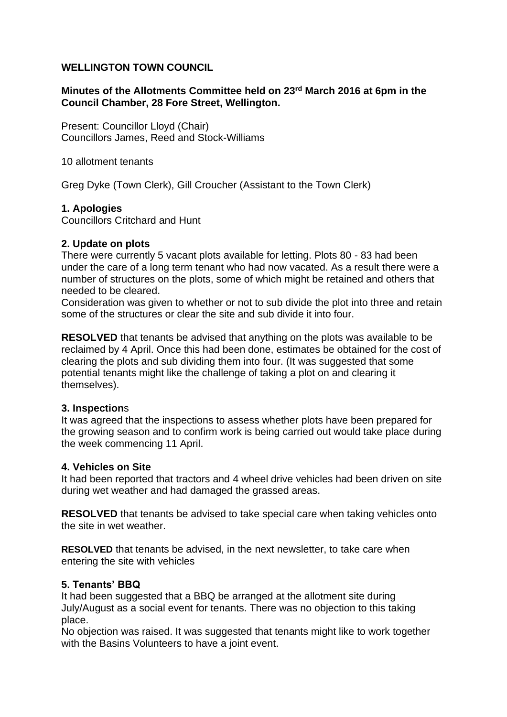## **WELLINGTON TOWN COUNCIL**

## **Minutes of the Allotments Committee held on 23rd March 2016 at 6pm in the Council Chamber, 28 Fore Street, Wellington.**

Present: Councillor Lloyd (Chair) Councillors James, Reed and Stock-Williams

10 allotment tenants

Greg Dyke (Town Clerk), Gill Croucher (Assistant to the Town Clerk)

### **1. Apologies**

Councillors Critchard and Hunt

### **2. Update on plots**

There were currently 5 vacant plots available for letting. Plots 80 - 83 had been under the care of a long term tenant who had now vacated. As a result there were a number of structures on the plots, some of which might be retained and others that needed to be cleared.

Consideration was given to whether or not to sub divide the plot into three and retain some of the structures or clear the site and sub divide it into four.

**RESOLVED** that tenants be advised that anything on the plots was available to be reclaimed by 4 April. Once this had been done, estimates be obtained for the cost of clearing the plots and sub dividing them into four. (It was suggested that some potential tenants might like the challenge of taking a plot on and clearing it themselves).

### **3. Inspection**s

It was agreed that the inspections to assess whether plots have been prepared for the growing season and to confirm work is being carried out would take place during the week commencing 11 April.

### **4. Vehicles on Site**

It had been reported that tractors and 4 wheel drive vehicles had been driven on site during wet weather and had damaged the grassed areas.

**RESOLVED** that tenants be advised to take special care when taking vehicles onto the site in wet weather.

**RESOLVED** that tenants be advised, in the next newsletter, to take care when entering the site with vehicles

### **5. Tenants' BBQ**

It had been suggested that a BBQ be arranged at the allotment site during July/August as a social event for tenants. There was no objection to this taking place.

No objection was raised. It was suggested that tenants might like to work together with the Basins Volunteers to have a joint event.